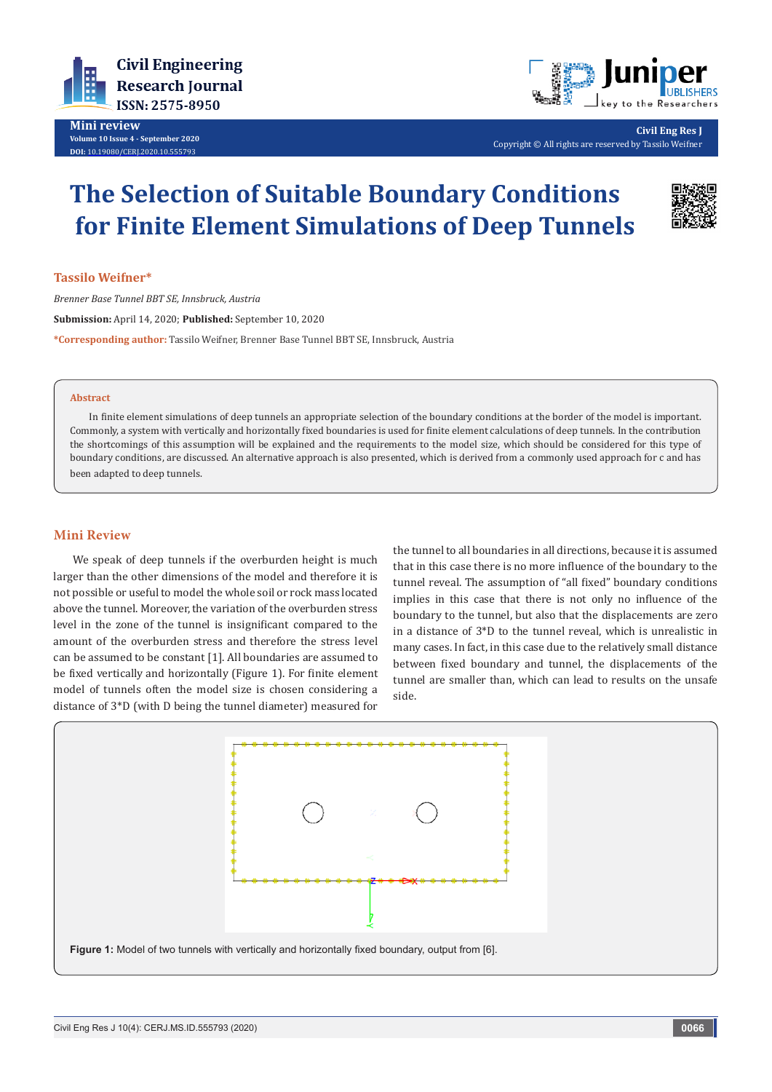

**Mini review Volume 10 Issue 4 - September 2020 DOI:** [10.19080/CERJ.2020.10.55579](http://dx.doi.org/10.19080/CERJ.2020.10.555793)3



**Civil Eng Res J** Copyright © All rights are reserved by Tassilo Weifner

# **The Selection of Suitable Boundary Conditions for Finite Element Simulations of Deep Tunnels**



## **Tassilo Weifner\***

*Brenner Base Tunnel BBT SE, Innsbruck, Austria* **Submission:** April 14, 2020; **Published:** September 10, 2020 **\*Corresponding author:** Tassilo Weifner, Brenner Base Tunnel BBT SE, Innsbruck, Austria

# **Abstract**

In finite element simulations of deep tunnels an appropriate selection of the boundary conditions at the border of the model is important. Commonly, a system with vertically and horizontally fixed boundaries is used for finite element calculations of deep tunnels. In the contribution the shortcomings of this assumption will be explained and the requirements to the model size, which should be considered for this type of boundary conditions, are discussed. An alternative approach is also presented, which is derived from a commonly used approach for c and has been adapted to deep tunnels.

# **Mini Review**

We speak of deep tunnels if the overburden height is much larger than the other dimensions of the model and therefore it is not possible or useful to model the whole soil or rock mass located above the tunnel. Moreover, the variation of the overburden stress level in the zone of the tunnel is insignificant compared to the amount of the overburden stress and therefore the stress level can be assumed to be constant [1]. All boundaries are assumed to be fixed vertically and horizontally (Figure 1). For finite element model of tunnels often the model size is chosen considering a distance of 3\*D (with D being the tunnel diameter) measured for

the tunnel to all boundaries in all directions, because it is assumed that in this case there is no more influence of the boundary to the tunnel reveal. The assumption of "all fixed" boundary conditions implies in this case that there is not only no influence of the boundary to the tunnel, but also that the displacements are zero in a distance of 3\*D to the tunnel reveal, which is unrealistic in many cases. In fact, in this case due to the relatively small distance between fixed boundary and tunnel, the displacements of the tunnel are smaller than, which can lead to results on the unsafe side.

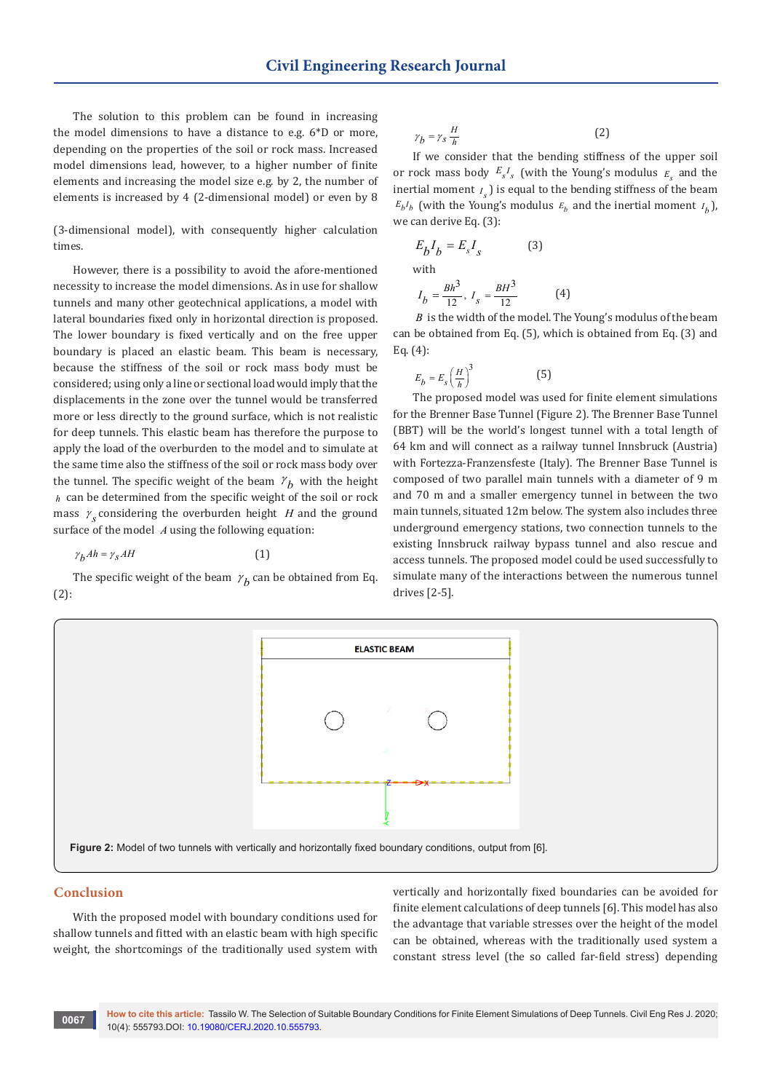The solution to this problem can be found in increasing the model dimensions to have a distance to e.g. 6\*D or more, depending on the properties of the soil or rock mass. Increased model dimensions lead, however, to a higher number of finite elements and increasing the model size e.g. by 2, the number of elements is increased by 4 (2-dimensional model) or even by 8

(3-dimensional model), with consequently higher calculation times.

However, there is a possibility to avoid the afore-mentioned necessity to increase the model dimensions. As in use for shallow tunnels and many other geotechnical applications, a model with lateral boundaries fixed only in horizontal direction is proposed. The lower boundary is fixed vertically and on the free upper boundary is placed an elastic beam. This beam is necessary, because the stiffness of the soil or rock mass body must be considered; using only a line or sectional load would imply that the displacements in the zone over the tunnel would be transferred more or less directly to the ground surface, which is not realistic for deep tunnels. This elastic beam has therefore the purpose to apply the load of the overburden to the model and to simulate at the same time also the stiffness of the soil or rock mass body over the tunnel. The specific weight of the beam  $\gamma_h$  with the height *h* can be determined from the specific weight of the soil or rock mass  $\gamma$  considering the overburden height *H* and the ground surface of the model *A* using the following equation:

$$
\gamma_b A h = \gamma_s A H \tag{1}
$$

The specific weight of the beam  $\gamma_h$  can be obtained from Eq. (2):

$$
\gamma_b = \gamma_s \frac{H}{h} \tag{2}
$$

If we consider that the bending stiffness of the upper soil or rock mass body  $E_s I_s$  (with the Young's modulus  $E_s$  and the inertial moment  $I_{s}$  ) is equal to the bending stiffness of the beam  $E_b I_b$  (with the Young's modulus  $E_b$  and the inertial moment  $I_b$ ), we can derive Eq. (3):

$$
E_b I_b = E_s I_s
$$
 (3)  
with  

$$
I_b = \frac{Bh^3}{12}, I_s = \frac{BH^3}{12}
$$
 (4)

*B* is the width of the model. The Young's modulus of the beam can be obtained from Eq. (5), which is obtained from Eq. (3) and Eq. (4):

$$
E_b = E_s \left(\frac{H}{h}\right)^3 \tag{5}
$$

The proposed model was used for finite element simulations for the Brenner Base Tunnel (Figure 2). The Brenner Base Tunnel (BBT) will be the world's longest tunnel with a total length of 64 km and will connect as a railway tunnel Innsbruck (Austria) with Fortezza-Franzensfeste (Italy). The Brenner Base Tunnel is composed of two parallel main tunnels with a diameter of 9 m and 70 m and a smaller emergency tunnel in between the two main tunnels, situated 12m below. The system also includes three underground emergency stations, two connection tunnels to the existing Innsbruck railway bypass tunnel and also rescue and access tunnels. The proposed model could be used successfully to simulate many of the interactions between the numerous tunnel drives [2-5].



#### **Conclusion**

With the proposed model with boundary conditions used for shallow tunnels and fitted with an elastic beam with high specific weight, the shortcomings of the traditionally used system with

vertically and horizontally fixed boundaries can be avoided for finite element calculations of deep tunnels [6]. This model has also the advantage that variable stresses over the height of the model can be obtained, whereas with the traditionally used system a constant stress level (the so called far-field stress) depending